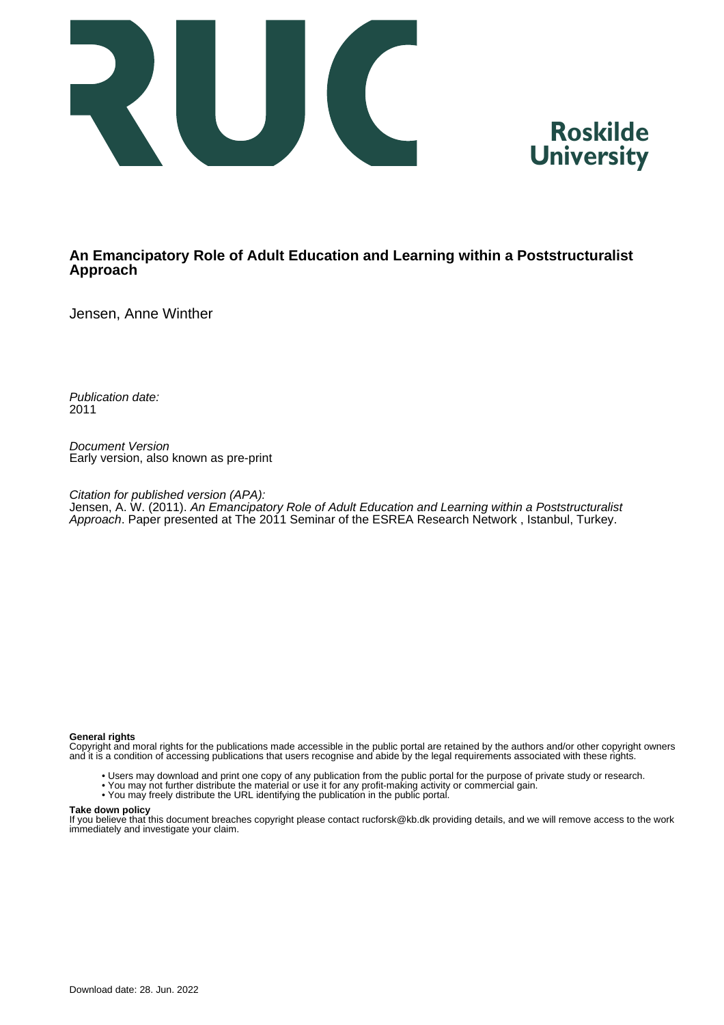



### **An Emancipatory Role of Adult Education and Learning within a Poststructuralist Approach**

Jensen, Anne Winther

Publication date: 2011

Document Version Early version, also known as pre-print

Citation for published version (APA): Jensen, A. W. (2011). An Emancipatory Role of Adult Education and Learning within a Poststructuralist Approach. Paper presented at The 2011 Seminar of the ESREA Research Network, Istanbul, Turkey.

#### **General rights**

Copyright and moral rights for the publications made accessible in the public portal are retained by the authors and/or other copyright owners and it is a condition of accessing publications that users recognise and abide by the legal requirements associated with these rights.

- Users may download and print one copy of any publication from the public portal for the purpose of private study or research.
- You may not further distribute the material or use it for any profit-making activity or commercial gain.
- You may freely distribute the URL identifying the publication in the public portal.

### **Take down policy**

If you believe that this document breaches copyright please contact rucforsk@kb.dk providing details, and we will remove access to the work immediately and investigate your claim.